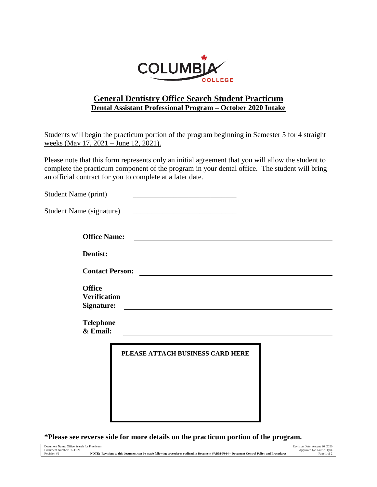

## **General Dentistry Office Search Student Practicum Dental Assistant Professional Program – October 2020 Intake**

Students will begin the practicum portion of the program beginning in Semester 5 for 4 straight weeks (May 17, 2021 – June 12, 2021).

Please note that this form represents only an initial agreement that you will allow the student to complete the practicum component of the program in your dental office. The student will bring an official contract for you to complete at a later date.

| <b>Student Name (print)</b>       |                                                                                                                                                                                                                                      |  |
|-----------------------------------|--------------------------------------------------------------------------------------------------------------------------------------------------------------------------------------------------------------------------------------|--|
| Student Name (signature)          |                                                                                                                                                                                                                                      |  |
| <b>Office Name:</b>               | <u> 1989 - Andrea Barbara, política española (h. 1989).</u>                                                                                                                                                                          |  |
| Dentist:                          | <u> 1989 - Johann John Stone, markin film yn y brening yn y brening yn y brening yn y brening y brening yn y bre</u>                                                                                                                 |  |
| <b>Contact Person:</b>            | <u> 1989 - Johann Stoff, fransk politik (d. 1989)</u>                                                                                                                                                                                |  |
| <b>Office</b>                     |                                                                                                                                                                                                                                      |  |
| <b>Verification</b><br>Signature: | <u> 1989 - Johann Harry Harry Harry Harry Harry Harry Harry Harry Harry Harry Harry Harry Harry Harry Harry Harry Harry Harry Harry Harry Harry Harry Harry Harry Harry Harry Harry Harry Harry Harry Harry Harry Harry Harry Ha</u> |  |
| <b>Telephone</b><br>& Email:      |                                                                                                                                                                                                                                      |  |
|                                   | PLEASE ATTACH BUSINESS CARD HERE                                                                                                                                                                                                     |  |
|                                   |                                                                                                                                                                                                                                      |  |

**\*Please see reverse side for more details on the practicum portion of the program.**